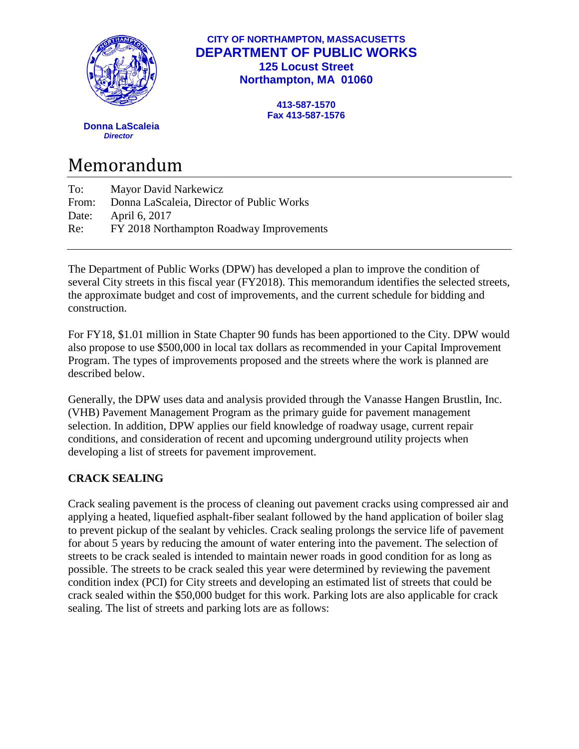

## **CITY OF NORTHAMPTON, MASSACUSETTS DEPARTMENT OF PUBLIC WORKS 125 Locust Street Northampton, MA 01060**

**413-587-1570 Fax 413-587-1576**

 **Donna LaScaleia** *Director*

# Memorandum

To: Mayor David Narkewicz From: Donna LaScaleia, Director of Public Works Date: April 6, 2017 Re: FY 2018 Northampton Roadway Improvements

The Department of Public Works (DPW) has developed a plan to improve the condition of several City streets in this fiscal year (FY2018). This memorandum identifies the selected streets, the approximate budget and cost of improvements, and the current schedule for bidding and construction.

For FY18, \$1.01 million in State Chapter 90 funds has been apportioned to the City. DPW would also propose to use \$500,000 in local tax dollars as recommended in your Capital Improvement Program. The types of improvements proposed and the streets where the work is planned are described below.

Generally, the DPW uses data and analysis provided through the Vanasse Hangen Brustlin, Inc. (VHB) Pavement Management Program as the primary guide for pavement management selection. In addition, DPW applies our field knowledge of roadway usage, current repair conditions, and consideration of recent and upcoming underground utility projects when developing a list of streets for pavement improvement.

## **CRACK SEALING**

Crack sealing pavement is the process of cleaning out pavement cracks using compressed air and applying a heated, liquefied asphalt-fiber sealant followed by the hand application of boiler slag to prevent pickup of the sealant by vehicles. Crack sealing prolongs the service life of pavement for about 5 years by reducing the amount of water entering into the pavement. The selection of streets to be crack sealed is intended to maintain newer roads in good condition for as long as possible. The streets to be crack sealed this year were determined by reviewing the pavement condition index (PCI) for City streets and developing an estimated list of streets that could be crack sealed within the \$50,000 budget for this work. Parking lots are also applicable for crack sealing. The list of streets and parking lots are as follows: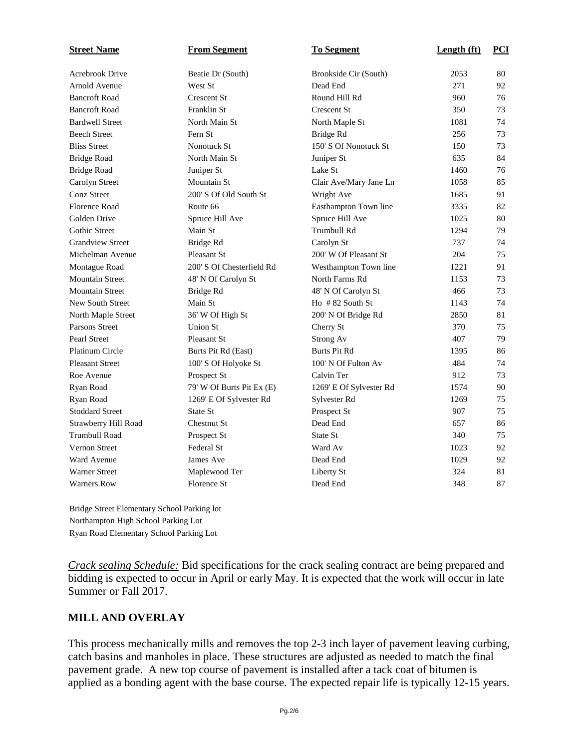| <b>Street Name</b>      | <b>From Segment</b>       | <b>To Segment</b>       | <b>Length <math>(ft)</math></b> | <b>PCI</b> |
|-------------------------|---------------------------|-------------------------|---------------------------------|------------|
| Acrebrook Drive         | Beatie Dr (South)         | Brookside Cir (South)   | 2053                            | 80         |
| <b>Arnold Avenue</b>    | West St                   | Dead End                | 271                             | 92         |
| <b>Bancroft Road</b>    | Crescent St               | Round Hill Rd           | 960                             | 76         |
| <b>Bancroft Road</b>    | Franklin St               | Crescent St             | 350                             | 73         |
| <b>Bardwell Street</b>  | North Main St             | North Maple St          | 1081                            | 74         |
| <b>Beech Street</b>     | Fern St                   | Bridge Rd               | 256                             | 73         |
| <b>Bliss Street</b>     | Nonotuck St               | 150' S Of Nonotuck St   | 150                             | 73         |
| <b>Bridge Road</b>      | North Main St             | Juniper St              | 635                             | 84         |
| <b>Bridge Road</b>      | Juniper St                | Lake St                 | 1460                            | 76         |
| Carolyn Street          | Mountain St               | Clair Ave/Mary Jane Ln  | 1058                            | 85         |
| <b>Conz Street</b>      | 200' S Of Old South St    | Wright Ave              | 1685                            | 91         |
| Florence Road           | Route 66                  | Easthampton Town line   | 3335                            | 82         |
| Golden Drive            | Spruce Hill Ave           | Spruce Hill Ave         | 1025                            | 80         |
| <b>Gothic Street</b>    | Main St                   | Trumbull Rd             | 1294                            | 79         |
| <b>Grandview Street</b> | Bridge Rd                 | Carolyn St              | 737                             | 74         |
| Michelman Avenue        | Pleasant St               | 200' W Of Pleasant St   | 204                             | 75         |
| Montague Road           | 200' S Of Chesterfield Rd | Westhampton Town line   | 1221                            | 91         |
| <b>Mountain Street</b>  | 48' N Of Carolyn St       | North Farms Rd          | 1153                            | 73         |
| <b>Mountain Street</b>  | Bridge Rd                 | 48' N Of Carolyn St     | 466                             | 73         |
| New South Street        | Main St                   | Ho $#82$ South St       | 1143                            | 74         |
| North Maple Street      | 36' W Of High St          | 200' N Of Bridge Rd     | 2850                            | 81         |
| Parsons Street          | <b>Union St.</b>          | Cherry St               | 370                             | 75         |
| <b>Pearl Street</b>     | Pleasant St               | Strong Av               | 407                             | 79         |
| Platinum Circle         | Burts Pit Rd (East)       | Burts Pit Rd            | 1395                            | 86         |
| <b>Pleasant Street</b>  | 100' S Of Holyoke St      | 100' N Of Fulton Av     | 484                             | 74         |
| Roe Avenue              | Prospect St               | Calvin Ter              | 912                             | 73         |
| Ryan Road               | 79' W Of Burts Pit Ex (E) | 1269' E Of Sylvester Rd | 1574                            | 90         |
| Ryan Road               | 1269' E Of Sylvester Rd   | Sylvester Rd            | 1269                            | 75         |
| <b>Stoddard Street</b>  | State St                  | Prospect St             | 907                             | 75         |
| Strawberry Hill Road    | Chestnut St               | Dead End                | 657                             | 86         |
| <b>Trumbull Road</b>    | Prospect St               | State St                | 340                             | 75         |
| Vernon Street           | Federal St                | Ward Av                 | 1023                            | 92         |
| Ward Avenue             | James Ave                 | Dead End                | 1029                            | 92         |
| <b>Warner Street</b>    | Maplewood Ter             | Liberty St              | 324                             | 81         |
| <b>Warners Row</b>      | Florence St               | Dead End                | 348                             | 87         |

Bridge Street Elementary School Parking lot Northampton High School Parking Lot Ryan Road Elementary School Parking Lot

*Crack sealing Schedule:* Bid specifications for the crack sealing contract are being prepared and bidding is expected to occur in April or early May. It is expected that the work will occur in late Summer or Fall 2017.

#### **MILL AND OVERLAY**

This process mechanically mills and removes the top 2-3 inch layer of pavement leaving curbing, catch basins and manholes in place. These structures are adjusted as needed to match the final pavement grade. A new top course of pavement is installed after a tack coat of bitumen is applied as a bonding agent with the base course. The expected repair life is typically 12-15 years.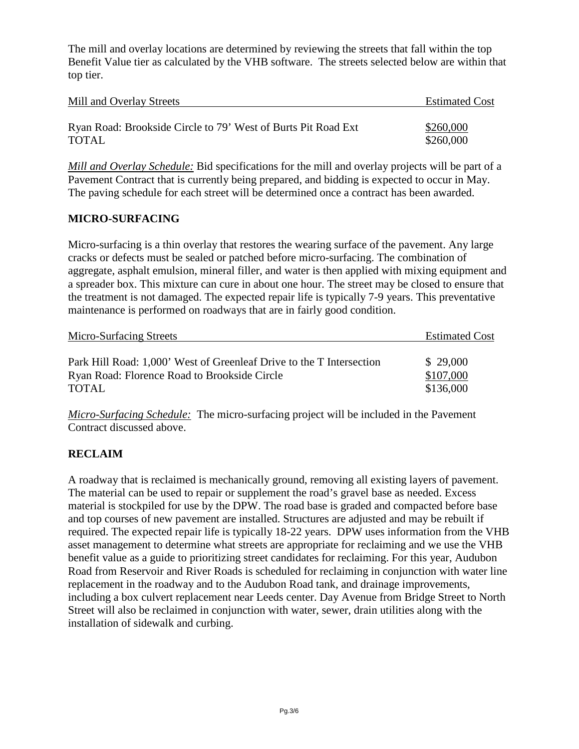The mill and overlay locations are determined by reviewing the streets that fall within the top Benefit Value tier as calculated by the VHB software. The streets selected below are within that top tier.

| Mill and Overlay Streets                                      | <b>Estimated Cost</b> |  |
|---------------------------------------------------------------|-----------------------|--|
| Ryan Road: Brookside Circle to 79' West of Burts Pit Road Ext | \$260,000             |  |
| <b>TOTAL</b>                                                  | \$260,000             |  |

*Mill and Overlay Schedule:* Bid specifications for the mill and overlay projects will be part of a Pavement Contract that is currently being prepared, and bidding is expected to occur in May. The paving schedule for each street will be determined once a contract has been awarded.

### **MICRO-SURFACING**

Micro-surfacing is a thin overlay that restores the wearing surface of the pavement. Any large cracks or defects must be sealed or patched before micro-surfacing. The combination of aggregate, asphalt emulsion, mineral filler, and water is then applied with mixing equipment and a spreader box. This mixture can cure in about one hour. The street may be closed to ensure that the treatment is not damaged. The expected repair life is typically 7-9 years. This preventative maintenance is performed on roadways that are in fairly good condition.

| Micro-Surfacing Streets                                              | <b>Estimated Cost</b> |  |
|----------------------------------------------------------------------|-----------------------|--|
| Park Hill Road: 1,000' West of Greenleaf Drive to the T Intersection | \$29,000              |  |
| Ryan Road: Florence Road to Brookside Circle                         | \$107,000             |  |
| <b>TOTAL</b>                                                         | \$136,000             |  |

*Micro-Surfacing Schedule:* The micro-surfacing project will be included in the Pavement Contract discussed above.

### **RECLAIM**

A roadway that is reclaimed is mechanically ground, removing all existing layers of pavement. The material can be used to repair or supplement the road's gravel base as needed. Excess material is stockpiled for use by the DPW. The road base is graded and compacted before base and top courses of new pavement are installed. Structures are adjusted and may be rebuilt if required. The expected repair life is typically 18-22 years. DPW uses information from the VHB asset management to determine what streets are appropriate for reclaiming and we use the VHB benefit value as a guide to prioritizing street candidates for reclaiming. For this year, Audubon Road from Reservoir and River Roads is scheduled for reclaiming in conjunction with water line replacement in the roadway and to the Audubon Road tank, and drainage improvements, including a box culvert replacement near Leeds center. Day Avenue from Bridge Street to North Street will also be reclaimed in conjunction with water, sewer, drain utilities along with the installation of sidewalk and curbing.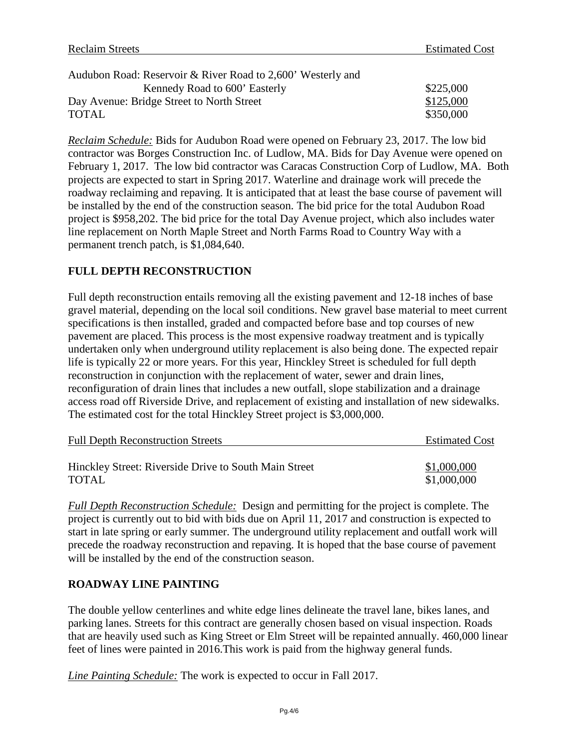| <b>Reclaim Streets</b>                                      | <b>Estimated Cost</b> |  |
|-------------------------------------------------------------|-----------------------|--|
| Audubon Road: Reservoir & River Road to 2,600' Westerly and |                       |  |
| Kennedy Road to 600' Easterly                               | \$225,000             |  |
| Day Avenue: Bridge Street to North Street                   | \$125,000             |  |
| <b>TOTAL</b>                                                | \$350,000             |  |

*Reclaim Schedule:* Bids for Audubon Road were opened on February 23, 2017. The low bid contractor was Borges Construction Inc. of Ludlow, MA. Bids for Day Avenue were opened on February 1, 2017. The low bid contractor was Caracas Construction Corp of Ludlow, MA. Both projects are expected to start in Spring 2017. Waterline and drainage work will precede the roadway reclaiming and repaving. It is anticipated that at least the base course of pavement will be installed by the end of the construction season. The bid price for the total Audubon Road project is \$958,202. The bid price for the total Day Avenue project, which also includes water line replacement on North Maple Street and North Farms Road to Country Way with a permanent trench patch, is \$1,084,640.

## **FULL DEPTH RECONSTRUCTION**

Full depth reconstruction entails removing all the existing pavement and 12-18 inches of base gravel material, depending on the local soil conditions. New gravel base material to meet current specifications is then installed, graded and compacted before base and top courses of new pavement are placed. This process is the most expensive roadway treatment and is typically undertaken only when underground utility replacement is also being done. The expected repair life is typically 22 or more years. For this year, Hinckley Street is scheduled for full depth reconstruction in conjunction with the replacement of water, sewer and drain lines, reconfiguration of drain lines that includes a new outfall, slope stabilization and a drainage access road off Riverside Drive, and replacement of existing and installation of new sidewalks. The estimated cost for the total Hinckley Street project is \$3,000,000.

| <b>Full Depth Reconstruction Streets</b>              | <b>Estimated Cost</b> |  |
|-------------------------------------------------------|-----------------------|--|
| Hinckley Street: Riverside Drive to South Main Street | \$1,000,000           |  |
| <b>TOTAL</b>                                          | \$1,000,000           |  |

*Full Depth Reconstruction Schedule:* Design and permitting for the project is complete. The project is currently out to bid with bids due on April 11, 2017 and construction is expected to start in late spring or early summer. The underground utility replacement and outfall work will precede the roadway reconstruction and repaving. It is hoped that the base course of pavement will be installed by the end of the construction season.

### **ROADWAY LINE PAINTING**

The double yellow centerlines and white edge lines delineate the travel lane, bikes lanes, and parking lanes. Streets for this contract are generally chosen based on visual inspection. Roads that are heavily used such as King Street or Elm Street will be repainted annually. 460,000 linear feet of lines were painted in 2016.This work is paid from the highway general funds.

*Line Painting Schedule:* The work is expected to occur in Fall 2017.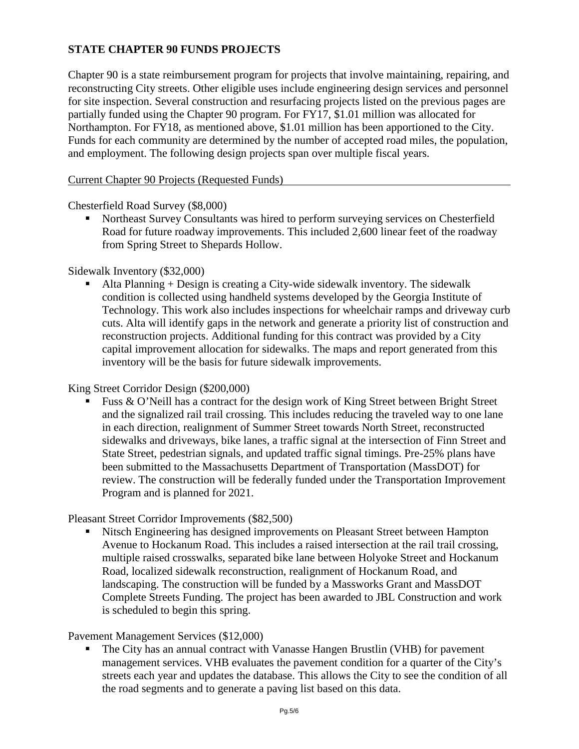## **STATE CHAPTER 90 FUNDS PROJECTS**

Chapter 90 is a state reimbursement program for projects that involve maintaining, repairing, and reconstructing City streets. Other eligible uses include engineering design services and personnel for site inspection. Several construction and resurfacing projects listed on the previous pages are partially funded using the Chapter 90 program. For FY17, \$1.01 million was allocated for Northampton. For FY18, as mentioned above, \$1.01 million has been apportioned to the City. Funds for each community are determined by the number of accepted road miles, the population, and employment. The following design projects span over multiple fiscal years.

#### Current Chapter 90 Projects (Requested Funds)

Chesterfield Road Survey (\$8,000)

 Northeast Survey Consultants was hired to perform surveying services on Chesterfield Road for future roadway improvements. This included 2,600 linear feet of the roadway from Spring Street to Shepards Hollow.

### Sidewalk Inventory (\$32,000)

 Alta Planning + Design is creating a City-wide sidewalk inventory. The sidewalk condition is collected using handheld systems developed by the Georgia Institute of Technology. This work also includes inspections for wheelchair ramps and driveway curb cuts. Alta will identify gaps in the network and generate a priority list of construction and reconstruction projects. Additional funding for this contract was provided by a City capital improvement allocation for sidewalks. The maps and report generated from this inventory will be the basis for future sidewalk improvements.

### King Street Corridor Design (\$200,000)

Fuss & O'Neill has a contract for the design work of King Street between Bright Street and the signalized rail trail crossing. This includes reducing the traveled way to one lane in each direction, realignment of Summer Street towards North Street, reconstructed sidewalks and driveways, bike lanes, a traffic signal at the intersection of Finn Street and State Street, pedestrian signals, and updated traffic signal timings. Pre-25% plans have been submitted to the Massachusetts Department of Transportation (MassDOT) for review. The construction will be federally funded under the Transportation Improvement Program and is planned for 2021.

Pleasant Street Corridor Improvements (\$82,500)

 Nitsch Engineering has designed improvements on Pleasant Street between Hampton Avenue to Hockanum Road. This includes a raised intersection at the rail trail crossing, multiple raised crosswalks, separated bike lane between Holyoke Street and Hockanum Road, localized sidewalk reconstruction, realignment of Hockanum Road, and landscaping. The construction will be funded by a Massworks Grant and MassDOT Complete Streets Funding. The project has been awarded to JBL Construction and work is scheduled to begin this spring.

### Pavement Management Services (\$12,000)

 The City has an annual contract with Vanasse Hangen Brustlin (VHB) for pavement management services. VHB evaluates the pavement condition for a quarter of the City's streets each year and updates the database. This allows the City to see the condition of all the road segments and to generate a paving list based on this data.